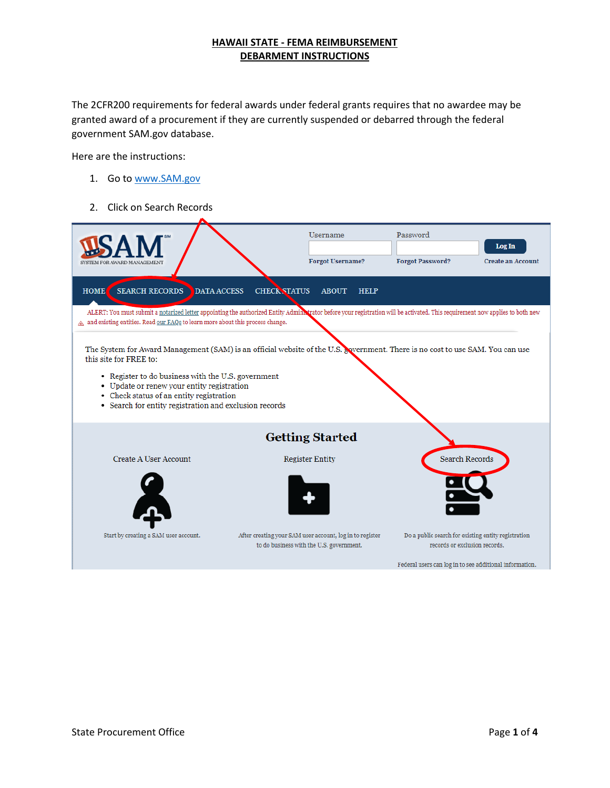The 2CFR200 requirements for federal awards under federal grants requires that no awardee may be granted award of a procurement if they are currently suspended or debarred through the federal government SAM.gov database.

Here are the instructions:

- 1. Go to [www.SAM.gov](http://www.sam.gov/)
- 2. Click on Search Records

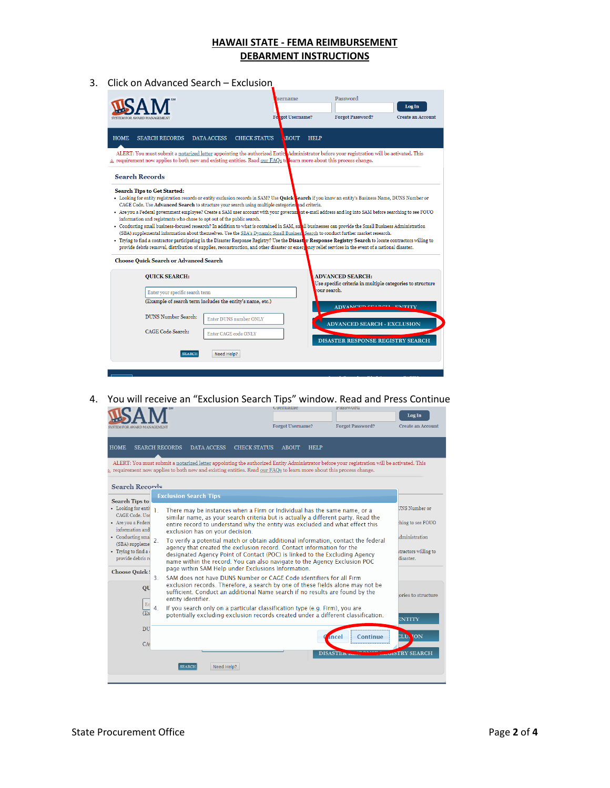3. Click on Advanced Search – Exclusion

|                                                                                                                                                                                                                                                                                                                                                                                                                                                                                                                                                                                                                                                                                                                                                                                                                                                                                                                                                                                                                                                                                                                                                                  | sername<br>Forgot Username?                       | Password<br><b>Forgot Password?</b>                                                                  | Log In<br><b>Create an Account</b> |  |
|------------------------------------------------------------------------------------------------------------------------------------------------------------------------------------------------------------------------------------------------------------------------------------------------------------------------------------------------------------------------------------------------------------------------------------------------------------------------------------------------------------------------------------------------------------------------------------------------------------------------------------------------------------------------------------------------------------------------------------------------------------------------------------------------------------------------------------------------------------------------------------------------------------------------------------------------------------------------------------------------------------------------------------------------------------------------------------------------------------------------------------------------------------------|---------------------------------------------------|------------------------------------------------------------------------------------------------------|------------------------------------|--|
| <b>HOME</b><br><b>SEARCH RECORDS</b><br><b>DATA ACCESS</b>                                                                                                                                                                                                                                                                                                                                                                                                                                                                                                                                                                                                                                                                                                                                                                                                                                                                                                                                                                                                                                                                                                       | <b>CHECK STATUS</b><br><b>BOUT</b><br><b>HELP</b> |                                                                                                      |                                    |  |
| ALERT: You must submit a notarized letter appointing the authorized Entity Administrator before your registration will be activated. This<br>$\triangle$ requirement now applies to both new and existing entities. Read our FAQs to learn more about this process change.                                                                                                                                                                                                                                                                                                                                                                                                                                                                                                                                                                                                                                                                                                                                                                                                                                                                                       |                                                   |                                                                                                      |                                    |  |
| <b>Search Records</b>                                                                                                                                                                                                                                                                                                                                                                                                                                                                                                                                                                                                                                                                                                                                                                                                                                                                                                                                                                                                                                                                                                                                            |                                                   |                                                                                                      |                                    |  |
| • Looking for entity registration records or entity exclusion records in SAM? Use Quick search if you know an entity's Business Name, DUNS Number or<br>CAGE Code. Use Advanced Search to structure your search using multiple categories and criteria.<br>• Are you a Federal government employee? Create a SAM user account with your government e-mail address and log into SAM before searching to see FOUO<br>information and registrants who chose to opt out of the public search.<br>• Conducting small business-focused research? In addition to what is contained in SAM, small businesses can provide the Small Business Administration<br>(SBA) supplemental information about themselves. Use the SBA's Dynamic Small Busines. Search to conduct further market research.<br>• Trying to find a contractor participating in the Disaster Response Registry? Use the Disaster Response Registry Search to locate contractors willing to<br>provide debris removal, distribution of supplies, reconstruction, and other disaster or emersionary relief services in the event of a national disaster.<br><b>Choose Quick Search or Advanced Search</b> |                                                   |                                                                                                      |                                    |  |
| <b>OUICK SEARCH:</b>                                                                                                                                                                                                                                                                                                                                                                                                                                                                                                                                                                                                                                                                                                                                                                                                                                                                                                                                                                                                                                                                                                                                             |                                                   | <b>ADVANCED SEARCH:</b><br>Use specific criteria in multiple categories to structure<br>rour search. |                                    |  |
| Enter your specific search term                                                                                                                                                                                                                                                                                                                                                                                                                                                                                                                                                                                                                                                                                                                                                                                                                                                                                                                                                                                                                                                                                                                                  |                                                   |                                                                                                      |                                    |  |
| (Example of search term includes the entity's name, etc.)<br>DUNS Number Search:<br>Enter DUNS number ONLY                                                                                                                                                                                                                                                                                                                                                                                                                                                                                                                                                                                                                                                                                                                                                                                                                                                                                                                                                                                                                                                       |                                                   | ADVANCED SEABOLE ENTITY<br><b>ADVANCED SEARCH - EXCLUSION</b>                                        |                                    |  |
| CAGE Code Search:<br>Enter CAGE code ONLY                                                                                                                                                                                                                                                                                                                                                                                                                                                                                                                                                                                                                                                                                                                                                                                                                                                                                                                                                                                                                                                                                                                        |                                                   | DISASTER RESPONSE REGISTRY SEARCH                                                                    |                                    |  |
| Need Help?<br><b>SEARCH</b>                                                                                                                                                                                                                                                                                                                                                                                                                                                                                                                                                                                                                                                                                                                                                                                                                                                                                                                                                                                                                                                                                                                                      |                                                   |                                                                                                      |                                    |  |

4. You will receive an "Exclusion Search Tips" window. Read and Press Continue<br>  $\mathbf{C} \mathbf{A} \mathbf{M}^*$ 

|                                                                                                                                                                               |                                                                                                                                                                                                                                                                            |                             |                                 | Log In                            |
|-------------------------------------------------------------------------------------------------------------------------------------------------------------------------------|----------------------------------------------------------------------------------------------------------------------------------------------------------------------------------------------------------------------------------------------------------------------------|-----------------------------|---------------------------------|-----------------------------------|
| SVSTEM FOR AWARD MANAGEMENT                                                                                                                                                   |                                                                                                                                                                                                                                                                            | <b>Forgot Username?</b>     | <b>Forgot Password?</b>         | <b>Create an Account</b>          |
| <b>HOME</b><br><b>SEARCH RECORDS</b>                                                                                                                                          | <b>DATA ACCESS</b><br><b>CHECK STATUS</b>                                                                                                                                                                                                                                  | <b>ABOUT</b><br><b>HELP</b> |                                 |                                   |
|                                                                                                                                                                               | ALERT: You must submit a notarized letter appointing the authorized Entity Administrator before your registration will be activated. This<br>$\triangle$ requirement now applies to both new and existing entities. Read our FAQs to learn more about this process change. |                             |                                 |                                   |
| Search Records                                                                                                                                                                |                                                                                                                                                                                                                                                                            |                             |                                 |                                   |
| <b>Search Tips to</b>                                                                                                                                                         | <b>Exclusion Search Tips</b>                                                                                                                                                                                                                                               |                             |                                 |                                   |
| • Looking for entit<br>ı.<br>CAGE Code, Use                                                                                                                                   | There may be instances when a Firm or Individual has the same name, or a                                                                                                                                                                                                   |                             | UNS Number or                   |                                   |
| · Are you a Federa<br>information and                                                                                                                                         | similar name, as your search criteria but is actually a different party. Read the<br>entire record to understand why the entity was excluded and what effect this                                                                                                          |                             |                                 | ching to see FOUO                 |
| exclusion has on your decision.<br>• Conducting smal<br>$\overline{2}$<br>To verify a potential match or obtain additional information, contact the federal<br>(SBA) suppleme |                                                                                                                                                                                                                                                                            |                             |                                 |                                   |
| · Trying to find a<br>provide debris re                                                                                                                                       | agency that created the exclusion record. Contact information for the<br>designated Agency Point of Contact (POC) is linked to the Excluding Agency                                                                                                                        |                             |                                 | itractors willing to<br>disaster. |
| <b>Choose Quick!</b>                                                                                                                                                          | name within the record. You can also navigate to the Agency Exclusion POC<br>page within SAM Help under Exclusions Information.                                                                                                                                            |                             |                                 |                                   |
| 3.<br>QU                                                                                                                                                                      | SAM does not have DUNS Number or CAGE Code identifiers for all Firm<br>exclusion records. Therefore, a search by one of these fields alone may not be                                                                                                                      |                             |                                 |                                   |
| En                                                                                                                                                                            | sufficient. Conduct an additional Name search if no results are found by the<br>entity identifier.                                                                                                                                                                         |                             |                                 | ories to structure                |
| 4.<br>E <sub>x</sub>                                                                                                                                                          | If you search only on a particular classification type (e.g. Firm), you are<br>potentially excluding exclusion records created under a different classification.                                                                                                           |                             |                                 | ENTITY                            |
| DU                                                                                                                                                                            |                                                                                                                                                                                                                                                                            |                             | <i><b>Ancel</b></i><br>Continue | <b>NON</b><br><b>CLUA</b>         |
| CA                                                                                                                                                                            |                                                                                                                                                                                                                                                                            |                             |                                 |                                   |
|                                                                                                                                                                               |                                                                                                                                                                                                                                                                            |                             | <b>DISASTER</b>                 | <b>VISTRY SEARCH</b>              |
|                                                                                                                                                                               | Need Help?<br><b>SEARCH</b>                                                                                                                                                                                                                                                |                             |                                 |                                   |
|                                                                                                                                                                               |                                                                                                                                                                                                                                                                            |                             |                                 |                                   |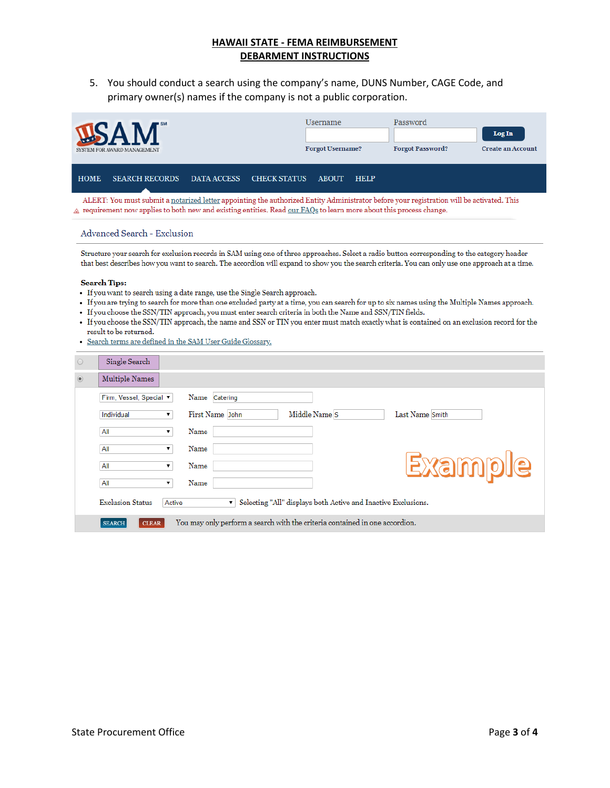5. You should conduct a search using the company's name, DUNS Number, CAGE Code, and primary owner(s) names if the company is not a public corporation.

| SYSTEM FOR AWARD MANAGEMENT                                                                                                                                                                                                                                                |                       |             | <b>Username</b><br><b>Forgot Username?</b> |              | Password<br><b>Forgot Password?</b> | Log In<br><b>Create an Account</b> |  |
|----------------------------------------------------------------------------------------------------------------------------------------------------------------------------------------------------------------------------------------------------------------------------|-----------------------|-------------|--------------------------------------------|--------------|-------------------------------------|------------------------------------|--|
| <b>HOME</b>                                                                                                                                                                                                                                                                | <b>SEARCH RECORDS</b> | DATA ACCESS | <b>CHECK STATUS</b>                        | <b>ABOUT</b> | <b>HELP</b>                         |                                    |  |
| ALERT: You must submit a notarized letter appointing the authorized Entity Administrator before your registration will be activated. This<br>$\triangle$ requirement now applies to both new and existing entities. Read our FAQs to learn more about this process change. |                       |             |                                            |              |                                     |                                    |  |

### **Advanced Search - Exclusion**

Structure your search for exclusion records in SAM using one of three approaches. Select a radio button corresponding to the category header that best describes how you want to search. The accordion will expand to show you the search criteria. You can only use one approach at a time.

#### **Search Tips:**

- If you want to search using a date range, use the Single Search approach.
- If you are trying to search for more than one excluded party at a time, you can search for up to six names using the Multiple Names approach.
- If you choose the SSN/TIN approach, you must enter search criteria in both the Name and SSN/TIN fields.
- If you choose the SSN/TIN approach, the name and SSN or TIN you enter must match exactly what is contained on an exclusion record for the result to be returned.
- · Search terms are defined in the SAM User Guide Glossary.

| $\circ$        | Single Search                     |                                                                               |
|----------------|-----------------------------------|-------------------------------------------------------------------------------|
| $\circledcirc$ | Multiple Names                    |                                                                               |
|                | Firm, Vessel, Special ▼           | Name Catering                                                                 |
|                | Individual<br>۷.                  | Middle Name S<br>First Name John<br>Last Name Smith                           |
|                | All<br>۷.                         | Name                                                                          |
|                | All                               | Name                                                                          |
|                | All<br>▼                          | <u>Exsmble</u><br>Name                                                        |
|                | All<br>▼                          | Name                                                                          |
|                | <b>Exclusion Status</b><br>Active | Selecting "All" displays both Active and Inactive Exclusions.<br>$\mathbf{v}$ |
|                | <b>SEARCH</b><br><b>CLEAR</b>     | You may only perform a search with the criteria contained in one accordion.   |